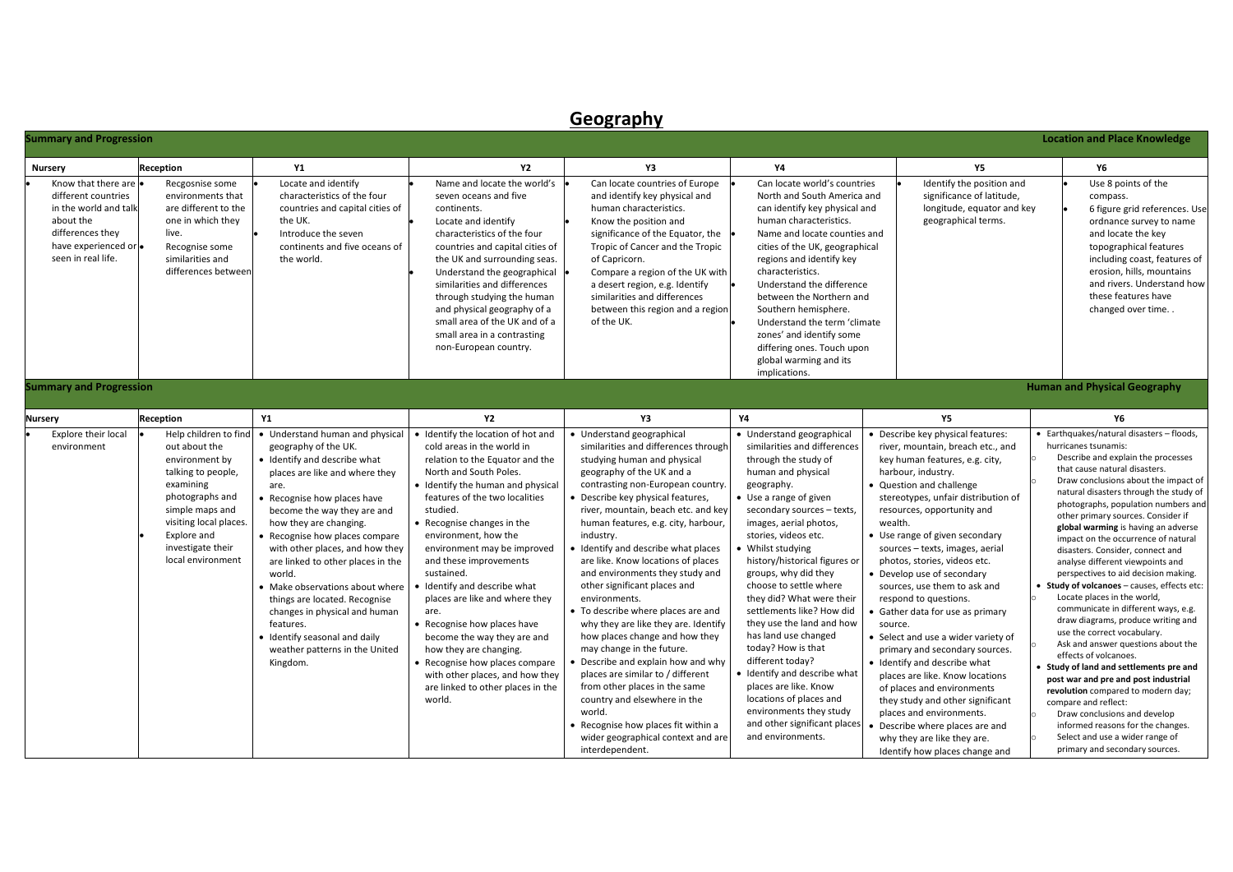|                                                                                                                                                     |                                                                                                                                                                                                                      |                                                                                                                                                                                                                                                                                                                                                                                                                                                                                                                                                |                                                                                                                                                                                                                                                                                                                                                                                                                                                                                                                                                                                                                                     | Geography                                                                                                                                                                                                                                                                                                                                                                                                                                                                                                                                                                                                                                                                                                                                                                                                                                                          |                                                                                                                                                                                                                                                                                                                                                                                                                                                                                                                                                                                                                                                                      |                                                                                                                                                                                                                                                                                                                                                                                                                                                                                                                                                                                                                                                                                                                                                                                                                                 |                                                                                                                                                                                                                                                                                                                                                                                                                                                                                                                                                                                                                                                                                                                                                                                                                                                                                                                                                                                                                                                         |
|-----------------------------------------------------------------------------------------------------------------------------------------------------|----------------------------------------------------------------------------------------------------------------------------------------------------------------------------------------------------------------------|------------------------------------------------------------------------------------------------------------------------------------------------------------------------------------------------------------------------------------------------------------------------------------------------------------------------------------------------------------------------------------------------------------------------------------------------------------------------------------------------------------------------------------------------|-------------------------------------------------------------------------------------------------------------------------------------------------------------------------------------------------------------------------------------------------------------------------------------------------------------------------------------------------------------------------------------------------------------------------------------------------------------------------------------------------------------------------------------------------------------------------------------------------------------------------------------|--------------------------------------------------------------------------------------------------------------------------------------------------------------------------------------------------------------------------------------------------------------------------------------------------------------------------------------------------------------------------------------------------------------------------------------------------------------------------------------------------------------------------------------------------------------------------------------------------------------------------------------------------------------------------------------------------------------------------------------------------------------------------------------------------------------------------------------------------------------------|----------------------------------------------------------------------------------------------------------------------------------------------------------------------------------------------------------------------------------------------------------------------------------------------------------------------------------------------------------------------------------------------------------------------------------------------------------------------------------------------------------------------------------------------------------------------------------------------------------------------------------------------------------------------|---------------------------------------------------------------------------------------------------------------------------------------------------------------------------------------------------------------------------------------------------------------------------------------------------------------------------------------------------------------------------------------------------------------------------------------------------------------------------------------------------------------------------------------------------------------------------------------------------------------------------------------------------------------------------------------------------------------------------------------------------------------------------------------------------------------------------------|---------------------------------------------------------------------------------------------------------------------------------------------------------------------------------------------------------------------------------------------------------------------------------------------------------------------------------------------------------------------------------------------------------------------------------------------------------------------------------------------------------------------------------------------------------------------------------------------------------------------------------------------------------------------------------------------------------------------------------------------------------------------------------------------------------------------------------------------------------------------------------------------------------------------------------------------------------------------------------------------------------------------------------------------------------|
| <b>Summary and Progression</b>                                                                                                                      |                                                                                                                                                                                                                      |                                                                                                                                                                                                                                                                                                                                                                                                                                                                                                                                                |                                                                                                                                                                                                                                                                                                                                                                                                                                                                                                                                                                                                                                     |                                                                                                                                                                                                                                                                                                                                                                                                                                                                                                                                                                                                                                                                                                                                                                                                                                                                    |                                                                                                                                                                                                                                                                                                                                                                                                                                                                                                                                                                                                                                                                      |                                                                                                                                                                                                                                                                                                                                                                                                                                                                                                                                                                                                                                                                                                                                                                                                                                 | <b>Location and Place Knowledge</b>                                                                                                                                                                                                                                                                                                                                                                                                                                                                                                                                                                                                                                                                                                                                                                                                                                                                                                                                                                                                                     |
| <b>Nursery</b>                                                                                                                                      | Reception                                                                                                                                                                                                            | <b>Y1</b>                                                                                                                                                                                                                                                                                                                                                                                                                                                                                                                                      | <b>Y2</b>                                                                                                                                                                                                                                                                                                                                                                                                                                                                                                                                                                                                                           | Y3                                                                                                                                                                                                                                                                                                                                                                                                                                                                                                                                                                                                                                                                                                                                                                                                                                                                 | <b>Y4</b>                                                                                                                                                                                                                                                                                                                                                                                                                                                                                                                                                                                                                                                            | <b>Y5</b>                                                                                                                                                                                                                                                                                                                                                                                                                                                                                                                                                                                                                                                                                                                                                                                                                       | <b>Y6</b>                                                                                                                                                                                                                                                                                                                                                                                                                                                                                                                                                                                                                                                                                                                                                                                                                                                                                                                                                                                                                                               |
| Know that there are<br>different countries<br>in the world and talk<br>about the<br>differences they<br>have experienced or .<br>seen in real life. | Recgosnise some<br>environments that<br>are different to the<br>one in which they<br>live.<br>Recognise some<br>similarities and<br>differences between                                                              | Locate and identify<br>characteristics of the four<br>countries and capital cities of<br>the UK.<br>Introduce the seven<br>continents and five oceans of<br>the world.                                                                                                                                                                                                                                                                                                                                                                         | Name and locate the world's<br>seven oceans and five<br>continents.<br>Locate and identify<br>characteristics of the four<br>countries and capital cities of<br>the UK and surrounding seas.<br>Understand the geographical<br>similarities and differences<br>through studying the human<br>and physical geography of a<br>small area of the UK and of a<br>small area in a contrasting<br>non-European country.                                                                                                                                                                                                                   | Can locate countries of Europe<br>and identify key physical and<br>human characteristics.<br>Know the position and<br>significance of the Equator, the<br>Tropic of Cancer and the Tropic<br>of Capricorn.<br>Compare a region of the UK with<br>a desert region, e.g. Identify<br>similarities and differences<br>between this region and a region<br>of the UK.                                                                                                                                                                                                                                                                                                                                                                                                                                                                                                  | Can locate world's countries<br>North and South America and<br>can identify key physical and<br>human characteristics.<br>Name and locate counties and<br>cities of the UK, geographical<br>regions and identify key<br>characteristics.<br>Understand the difference<br>between the Northern and<br>Southern hemisphere.<br>Understand the term 'climate<br>zones' and identify some<br>differing ones. Touch upon<br>global warming and its<br>implications.                                                                                                                                                                                                       | Identify the position and<br>significance of latitude,<br>longitude, equator and key<br>geographical terms.                                                                                                                                                                                                                                                                                                                                                                                                                                                                                                                                                                                                                                                                                                                     | Use 8 points of the<br>compass.<br>6 figure grid references. Use<br>ordnance survey to name<br>and locate the key<br>topographical features<br>including coast, features of<br>erosion, hills, mountains<br>and rivers. Understand how<br>these features have<br>changed over time                                                                                                                                                                                                                                                                                                                                                                                                                                                                                                                                                                                                                                                                                                                                                                      |
| <b>Summary and Progression</b>                                                                                                                      |                                                                                                                                                                                                                      |                                                                                                                                                                                                                                                                                                                                                                                                                                                                                                                                                |                                                                                                                                                                                                                                                                                                                                                                                                                                                                                                                                                                                                                                     |                                                                                                                                                                                                                                                                                                                                                                                                                                                                                                                                                                                                                                                                                                                                                                                                                                                                    |                                                                                                                                                                                                                                                                                                                                                                                                                                                                                                                                                                                                                                                                      |                                                                                                                                                                                                                                                                                                                                                                                                                                                                                                                                                                                                                                                                                                                                                                                                                                 | <b>Human and Physical Geography</b>                                                                                                                                                                                                                                                                                                                                                                                                                                                                                                                                                                                                                                                                                                                                                                                                                                                                                                                                                                                                                     |
| Nursery                                                                                                                                             | Reception                                                                                                                                                                                                            | <b>Y1</b>                                                                                                                                                                                                                                                                                                                                                                                                                                                                                                                                      | <b>Y2</b>                                                                                                                                                                                                                                                                                                                                                                                                                                                                                                                                                                                                                           | Y3                                                                                                                                                                                                                                                                                                                                                                                                                                                                                                                                                                                                                                                                                                                                                                                                                                                                 | <b>Y4</b>                                                                                                                                                                                                                                                                                                                                                                                                                                                                                                                                                                                                                                                            | <b>Y5</b>                                                                                                                                                                                                                                                                                                                                                                                                                                                                                                                                                                                                                                                                                                                                                                                                                       | Y6                                                                                                                                                                                                                                                                                                                                                                                                                                                                                                                                                                                                                                                                                                                                                                                                                                                                                                                                                                                                                                                      |
| Explore their local<br>environment                                                                                                                  | Help children to find<br>out about the<br>environment by<br>talking to people,<br>examining<br>photographs and<br>simple maps and<br>visiting local places.<br>Explore and<br>investigate their<br>local environment | • Understand human and physical<br>geography of the UK.<br>· Identify and describe what<br>places are like and where they<br>are.<br>• Recognise how places have<br>become the way they are and<br>how they are changing.<br>• Recognise how places compare<br>with other places, and how they<br>are linked to other places in the<br>world.<br>• Make observations about where<br>things are located. Recognise<br>changes in physical and human<br>features.<br>· Identify seasonal and daily<br>weather patterns in the United<br>Kingdom. | · Identify the location of hot and<br>cold areas in the world in<br>relation to the Equator and the<br>North and South Poles.<br>• Identify the human and physical<br>features of the two localities<br>studied.<br>• Recognise changes in the<br>environment, how the<br>environment may be improved<br>and these improvements<br>sustained.<br>• Identify and describe what<br>places are like and where they<br>are.<br>• Recognise how places have<br>become the way they are and<br>how they are changing.<br>• Recognise how places compare<br>with other places, and how they<br>are linked to other places in the<br>world. | • Understand geographical<br>similarities and differences through<br>studying human and physical<br>geography of the UK and a<br>contrasting non-European country.<br>• Describe key physical features,<br>river, mountain, beach etc. and key<br>human features, e.g. city, harbour,<br>industry.<br>Identify and describe what places<br>are like. Know locations of places<br>and environments they study and<br>other significant places and<br>environments.<br>• To describe where places are and<br>why they are like they are. Identify<br>how places change and how they<br>may change in the future.<br>Describe and explain how and why<br>places are similar to / different<br>from other places in the same<br>country and elsewhere in the<br>world.<br>• Recognise how places fit within a<br>wider geographical context and are<br>interdependent. | • Understand geographical<br>similarities and differences<br>through the study of<br>human and physical<br>geography.<br>• Use a range of given<br>secondary sources - texts,<br>images, aerial photos,<br>stories, videos etc.<br>• Whilst studying<br>history/historical figures or<br>groups, why did they<br>choose to settle where<br>they did? What were their<br>settlements like? How did<br>they use the land and how<br>has land use changed<br>today? How is that<br>different today?<br>• Identify and describe what<br>places are like. Know<br>locations of places and<br>environments they study<br>and other significant places<br>and environments. | · Describe key physical features:<br>river, mountain, breach etc., and<br>key human features, e.g. city,<br>harbour, industry.<br>• Question and challenge<br>stereotypes, unfair distribution of<br>resources, opportunity and<br>wealth.<br>• Use range of given secondary<br>sources - texts, images, aerial<br>photos, stories, videos etc.<br>• Develop use of secondary<br>sources, use them to ask and<br>respond to questions.<br>Gather data for use as primary<br>source.<br>• Select and use a wider variety of<br>primary and secondary sources.<br>· Identify and describe what<br>places are like. Know locations<br>of places and environments<br>they study and other significant<br>places and environments.<br>Describe where places are and<br>why they are like they are.<br>Identify how places change and | • Earthquakes/natural disasters - floods,<br>hurricanes tsunamis:<br>Describe and explain the processes<br>that cause natural disasters.<br>Draw conclusions about the impact of<br>natural disasters through the study of<br>photographs, population numbers and<br>other primary sources. Consider if<br>global warming is having an adverse<br>impact on the occurrence of natural<br>disasters. Consider, connect and<br>analyse different viewpoints and<br>perspectives to aid decision making.<br>• Study of volcanoes - causes, effects etc:<br>Locate places in the world,<br>communicate in different ways, e.g.<br>draw diagrams, produce writing and<br>use the correct vocabulary.<br>Ask and answer questions about the<br>effects of volcanoes.<br>Study of land and settlements pre and<br>post war and pre and post industrial<br>revolution compared to modern day;<br>compare and reflect:<br>Draw conclusions and develop<br>informed reasons for the changes.<br>Select and use a wider range of<br>primary and secondary sources. |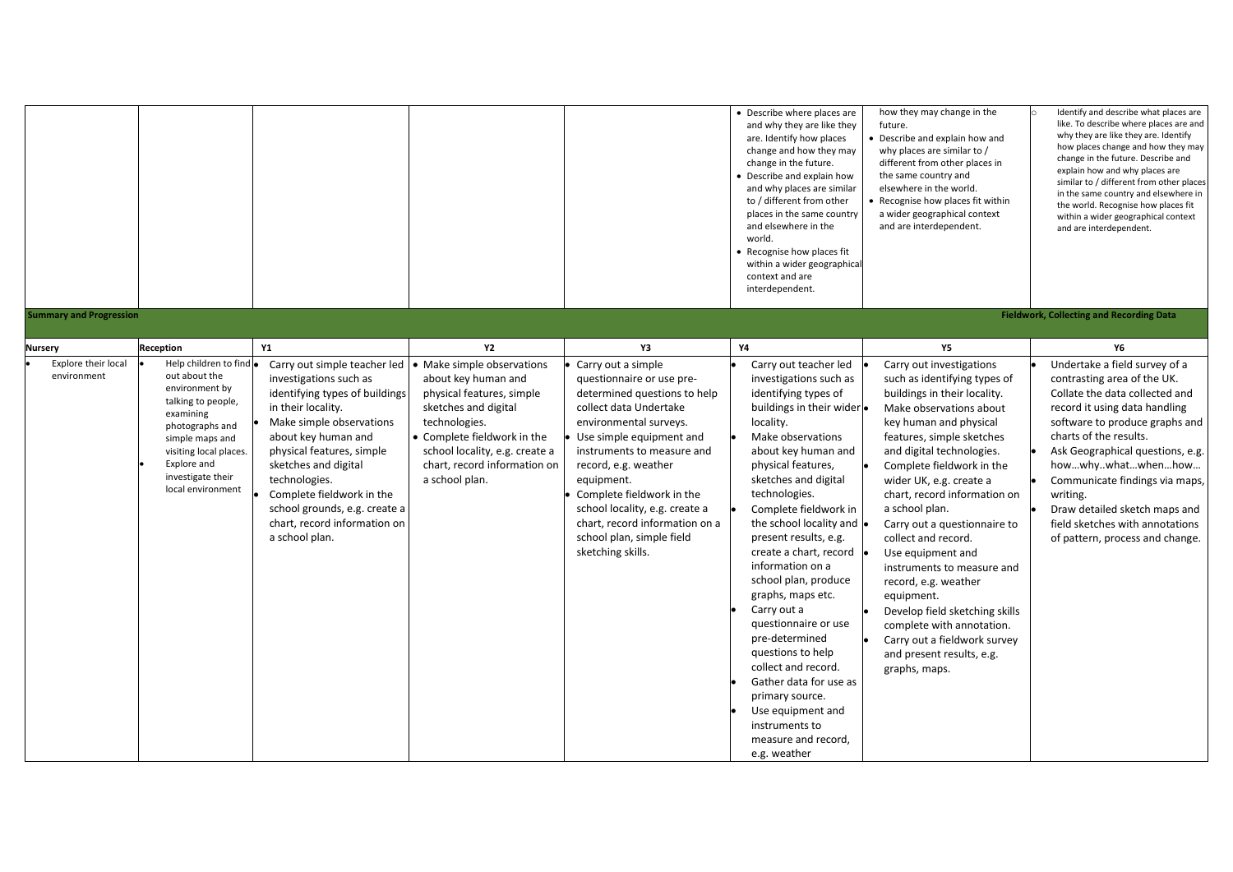| <b>Summary and Progression</b>        |                                                                                                                                                                                             |                                                                                                                                                                                                                                                                                                                         |                                                                                                                                                                                                              |                                                                                                                                                                                                                                                                                                                                                                  | • Describe where places are<br>and why they are like they<br>are. Identify how places<br>change and how they may<br>change in the future.<br>Describe and explain how<br>and why places are similar<br>to / different from other<br>places in the same country<br>and elsewhere in the<br>world.<br>• Recognise how places fit<br>within a wider geographical<br>context and are<br>interdependent.                                                                                                                                                                                                        | how they may change in the<br>future.<br>Describe and explain how and<br>why places are similar to /<br>different from other places in<br>the same country and<br>elsewhere in the world.<br>Recognise how places fit within<br>a wider geographical context<br>and are interdependent.                                                                                                                                                                                                                                                                                            | Identify and describe what places are<br>like. To describe where places are and<br>why they are like they are. Identify<br>how places change and how they may<br>change in the future. Describe and<br>explain how and why places are<br>similar to / different from other places<br>in the same country and elsewhere in<br>the world. Recognise how places fit<br>within a wider geographical context<br>and are interdependent.<br><b>Fieldwork, Collecting and Recording Data</b> |
|---------------------------------------|---------------------------------------------------------------------------------------------------------------------------------------------------------------------------------------------|-------------------------------------------------------------------------------------------------------------------------------------------------------------------------------------------------------------------------------------------------------------------------------------------------------------------------|--------------------------------------------------------------------------------------------------------------------------------------------------------------------------------------------------------------|------------------------------------------------------------------------------------------------------------------------------------------------------------------------------------------------------------------------------------------------------------------------------------------------------------------------------------------------------------------|------------------------------------------------------------------------------------------------------------------------------------------------------------------------------------------------------------------------------------------------------------------------------------------------------------------------------------------------------------------------------------------------------------------------------------------------------------------------------------------------------------------------------------------------------------------------------------------------------------|------------------------------------------------------------------------------------------------------------------------------------------------------------------------------------------------------------------------------------------------------------------------------------------------------------------------------------------------------------------------------------------------------------------------------------------------------------------------------------------------------------------------------------------------------------------------------------|---------------------------------------------------------------------------------------------------------------------------------------------------------------------------------------------------------------------------------------------------------------------------------------------------------------------------------------------------------------------------------------------------------------------------------------------------------------------------------------|
|                                       |                                                                                                                                                                                             |                                                                                                                                                                                                                                                                                                                         |                                                                                                                                                                                                              |                                                                                                                                                                                                                                                                                                                                                                  |                                                                                                                                                                                                                                                                                                                                                                                                                                                                                                                                                                                                            |                                                                                                                                                                                                                                                                                                                                                                                                                                                                                                                                                                                    |                                                                                                                                                                                                                                                                                                                                                                                                                                                                                       |
| <b>Nursery</b><br>Explore their local | Reception<br>Help children to find .                                                                                                                                                        | Υ1<br>Carry out simple teacher led                                                                                                                                                                                                                                                                                      | <b>Y2</b><br>• Make simple observations                                                                                                                                                                      | Y3<br>Carry out a simple                                                                                                                                                                                                                                                                                                                                         | Υ4<br>Carry out teacher led                                                                                                                                                                                                                                                                                                                                                                                                                                                                                                                                                                                | <b>Y5</b><br>Carry out investigations                                                                                                                                                                                                                                                                                                                                                                                                                                                                                                                                              | Y6<br>Undertake a field survey of a                                                                                                                                                                                                                                                                                                                                                                                                                                                   |
| environment                           | out about the<br>environment by<br>talking to people,<br>examining<br>photographs and<br>simple maps and<br>visiting local places.<br>Explore and<br>investigate their<br>local environment | investigations such as<br>identifying types of buildings<br>in their locality.<br>Make simple observations<br>about key human and<br>physical features, simple<br>sketches and digital<br>technologies.<br>Complete fieldwork in the<br>school grounds, e.g. create a<br>chart, record information on<br>a school plan. | about key human and<br>physical features, simple<br>sketches and digital<br>technologies.<br>• Complete fieldwork in the<br>school locality, e.g. create a<br>chart, record information on<br>a school plan. | questionnaire or use pre-<br>determined questions to help<br>collect data Undertake<br>environmental surveys.<br>Use simple equipment and<br>instruments to measure and<br>record, e.g. weather<br>equipment.<br>Complete fieldwork in the<br>school locality, e.g. create a<br>chart, record information on a<br>school plan, simple field<br>sketching skills. | investigations such as<br>identifying types of<br>buildings in their wider<br>locality.<br>Make observations<br>about key human and<br>physical features,<br>sketches and digital<br>technologies.<br>Complete fieldwork in<br>the school locality and<br>present results, e.g.<br>create a chart, record<br>information on a<br>school plan, produce<br>graphs, maps etc.<br>Carry out a<br>questionnaire or use<br>pre-determined<br>questions to help<br>collect and record.<br>Gather data for use as<br>primary source.<br>Use equipment and<br>instruments to<br>measure and record,<br>e.g. weather | such as identifying types of<br>buildings in their locality.<br>Make observations about<br>key human and physical<br>features, simple sketches<br>and digital technologies.<br>Complete fieldwork in the<br>wider UK, e.g. create a<br>chart, record information on<br>a school plan.<br>Carry out a questionnaire to<br>collect and record.<br>Use equipment and<br>instruments to measure and<br>record, e.g. weather<br>equipment.<br>Develop field sketching skills<br>complete with annotation.<br>Carry out a fieldwork survey<br>and present results, e.g.<br>graphs, maps. | contrasting area of the UK.<br>Collate the data collected and<br>record it using data handling<br>software to produce graphs and<br>charts of the results.<br>Ask Geographical questions, e.g.<br>howwhywhatwhenhow<br>Communicate findings via maps,<br>writing.<br>Draw detailed sketch maps and<br>field sketches with annotations<br>of pattern, process and change.                                                                                                              |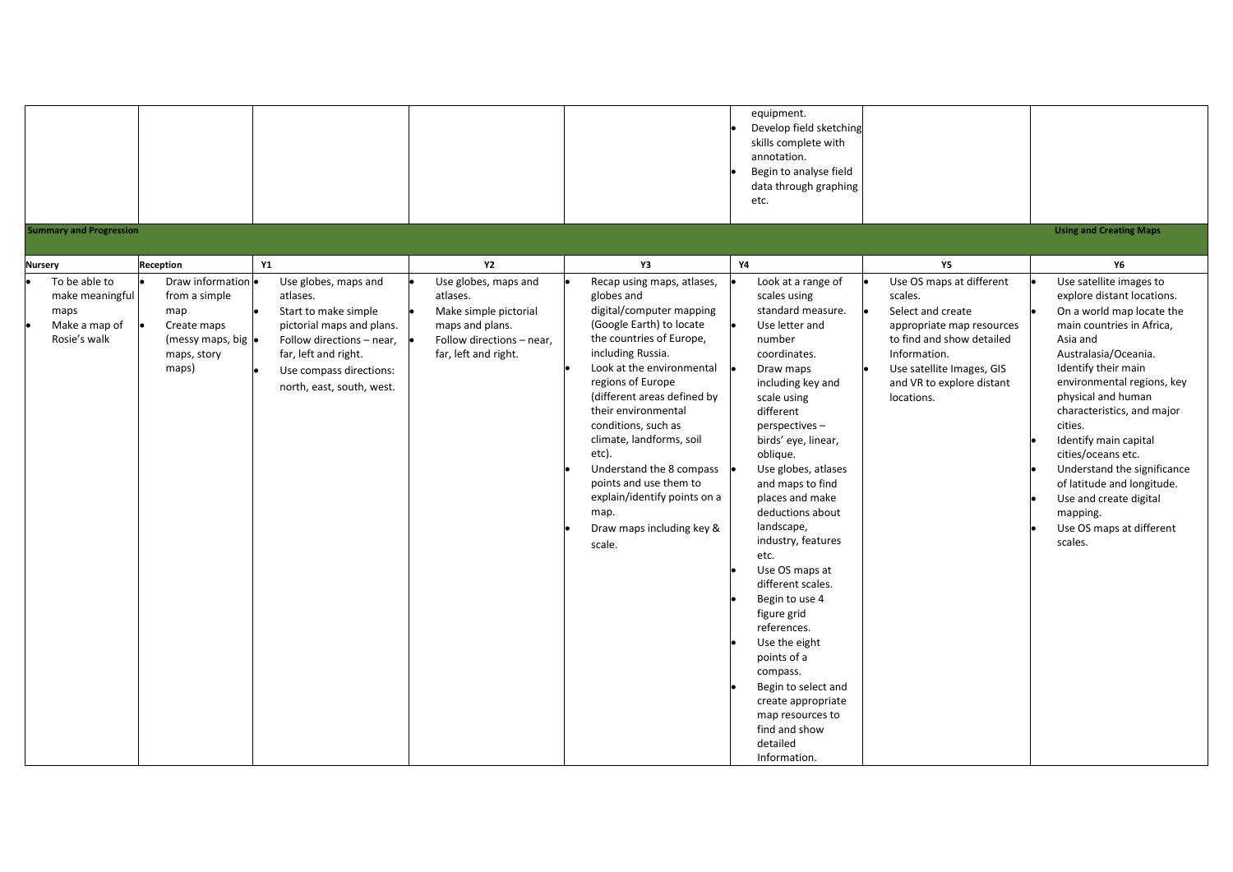| <b>Summary and Progression</b>                                                              |                                                                                                                              |                                                                                                                                                                                                    |                                                                                                                                   |                                                                                                                                                                                                                                                                                                                                                                                                                                                            | equipment.<br>Develop field sketching<br>skills complete with<br>annotation.<br>Begin to analyse field<br>data through graphing<br>etc.                                                                                                                                                                                                                                                                                                                                                                                                                                                              |                                                                                                                                                                                                            | <b>Using and Creating Maps</b>                                                                                                                                                                                                                                                                                                                                                                                                                                         |
|---------------------------------------------------------------------------------------------|------------------------------------------------------------------------------------------------------------------------------|----------------------------------------------------------------------------------------------------------------------------------------------------------------------------------------------------|-----------------------------------------------------------------------------------------------------------------------------------|------------------------------------------------------------------------------------------------------------------------------------------------------------------------------------------------------------------------------------------------------------------------------------------------------------------------------------------------------------------------------------------------------------------------------------------------------------|------------------------------------------------------------------------------------------------------------------------------------------------------------------------------------------------------------------------------------------------------------------------------------------------------------------------------------------------------------------------------------------------------------------------------------------------------------------------------------------------------------------------------------------------------------------------------------------------------|------------------------------------------------------------------------------------------------------------------------------------------------------------------------------------------------------------|------------------------------------------------------------------------------------------------------------------------------------------------------------------------------------------------------------------------------------------------------------------------------------------------------------------------------------------------------------------------------------------------------------------------------------------------------------------------|
|                                                                                             |                                                                                                                              | <b>Y1</b>                                                                                                                                                                                          | <b>Y2</b>                                                                                                                         | Y3                                                                                                                                                                                                                                                                                                                                                                                                                                                         | <b>Y4</b>                                                                                                                                                                                                                                                                                                                                                                                                                                                                                                                                                                                            | Y5                                                                                                                                                                                                         |                                                                                                                                                                                                                                                                                                                                                                                                                                                                        |
| <b>Nursery</b><br>To be able to<br>make meaningful<br>maps<br>Make a map of<br>Rosie's walk | Reception<br>Draw information .<br>from a simple<br>map<br>Create maps<br>(messy maps, big $\bullet$<br>maps, story<br>maps) | Use globes, maps and<br>atlases.<br>Start to make simple<br>pictorial maps and plans.<br>Follow directions - near,<br>far, left and right.<br>Use compass directions:<br>north, east, south, west. | Use globes, maps and<br>atlases.<br>Make simple pictorial<br>maps and plans.<br>Follow directions - near,<br>far, left and right. | Recap using maps, atlases,<br>globes and<br>digital/computer mapping<br>(Google Earth) to locate<br>the countries of Europe,<br>including Russia.<br>Look at the environmental<br>regions of Europe<br>(different areas defined by<br>their environmental<br>conditions, such as<br>climate, landforms, soil<br>etc).<br>Understand the 8 compass<br>points and use them to<br>explain/identify points on a<br>map.<br>Draw maps including key &<br>scale. | Look at a range of<br>scales using<br>standard measure.<br>Use letter and<br>number<br>coordinates.<br>Draw maps<br>including key and<br>scale using<br>different<br>perspectives-<br>birds' eye, linear,<br>oblique.<br>Use globes, atlases<br>and maps to find<br>places and make<br>deductions about<br>landscape,<br>industry, features<br>etc.<br>Use OS maps at<br>different scales.<br>Begin to use 4<br>figure grid<br>references.<br>Use the eight<br>points of a<br>compass.<br>Begin to select and<br>create appropriate<br>map resources to<br>find and show<br>detailed<br>Information. | Use OS maps at different<br>scales.<br>Select and create<br>appropriate map resources<br>to find and show detailed<br>Information.<br>Use satellite Images, GIS<br>and VR to explore distant<br>locations. | Υ6<br>Use satellite images to<br>explore distant locations.<br>On a world map locate the<br>main countries in Africa,<br>Asia and<br>Australasia/Oceania.<br>Identify their main<br>environmental regions, key<br>physical and human<br>characteristics, and major<br>cities.<br>Identify main capital<br>cities/oceans etc.<br>Understand the significance<br>of latitude and longitude.<br>Use and create digital<br>mapping.<br>Use OS maps at different<br>scales. |